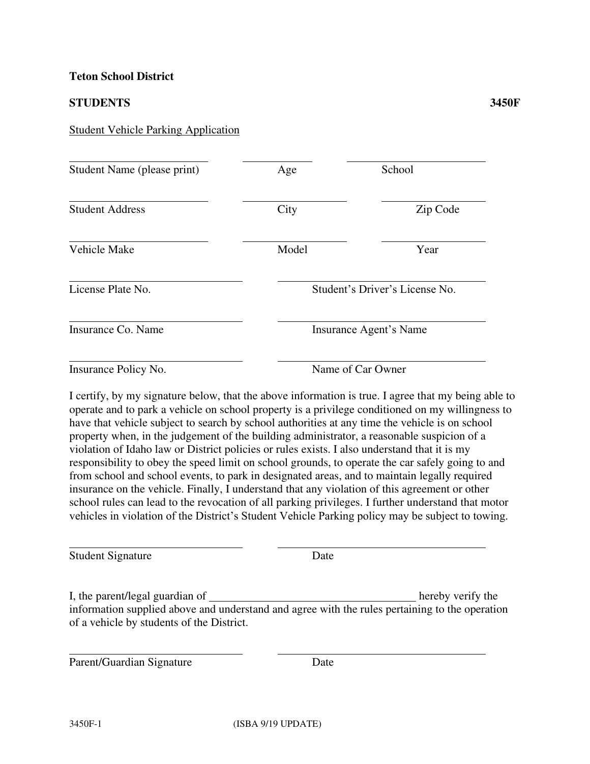## **Teton School District**

## **STUDENTS 3450F**

## Student Vehicle Parking Application

| Student Name (please print) | Age                            | School   |
|-----------------------------|--------------------------------|----------|
| <b>Student Address</b>      | City                           | Zip Code |
| Vehicle Make                | Model                          | Year     |
| License Plate No.           | Student's Driver's License No. |          |
| Insurance Co. Name          | Insurance Agent's Name         |          |
| Insurance Policy No.        | Name of Car Owner              |          |

I certify, by my signature below, that the above information is true. I agree that my being able to operate and to park a vehicle on school property is a privilege conditioned on my willingness to have that vehicle subject to search by school authorities at any time the vehicle is on school property when, in the judgement of the building administrator, a reasonable suspicion of a violation of Idaho law or District policies or rules exists. I also understand that it is my responsibility to obey the speed limit on school grounds, to operate the car safely going to and from school and school events, to park in designated areas, and to maintain legally required insurance on the vehicle. Finally, I understand that any violation of this agreement or other school rules can lead to the revocation of all parking privileges. I further understand that motor vehicles in violation of the District's Student Vehicle Parking policy may be subject to towing.

 $\overline{a}$ Student Signature Date

I, the parent/legal guardian of hereby verify the information supplied above and understand and agree with the rules pertaining to the operation of a vehicle by students of the District.

Parent/Guardian Signature Date

 $\overline{a}$